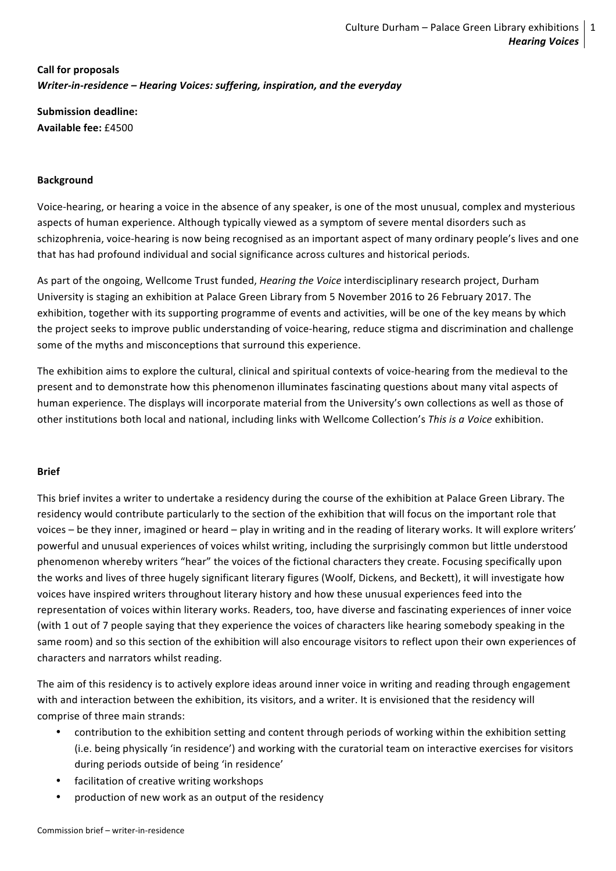# **Call for proposals** *Writer-in-residence – Hearing Voices: suffering, inspiration, and the everyday*

**Submission deadline: Available fee:** £4500

# **Background**

Voice-hearing, or hearing a voice in the absence of any speaker, is one of the most unusual, complex and mysterious aspects of human experience. Although typically viewed as a symptom of severe mental disorders such as schizophrenia, voice-hearing is now being recognised as an important aspect of many ordinary people's lives and one that has had profound individual and social significance across cultures and historical periods.

As part of the ongoing, Wellcome Trust funded, *Hearing the Voice* interdisciplinary research project, Durham University is staging an exhibition at Palace Green Library from 5 November 2016 to 26 February 2017. The exhibition, together with its supporting programme of events and activities, will be one of the key means by which the project seeks to improve public understanding of voice-hearing, reduce stigma and discrimination and challenge some of the myths and misconceptions that surround this experience.

The exhibition aims to explore the cultural, clinical and spiritual contexts of voice-hearing from the medieval to the present and to demonstrate how this phenomenon illuminates fascinating questions about many vital aspects of human experience. The displays will incorporate material from the University's own collections as well as those of other institutions both local and national, including links with Wellcome Collection's This is a Voice exhibition.

## **Brief**

This brief invites a writer to undertake a residency during the course of the exhibition at Palace Green Library. The residency would contribute particularly to the section of the exhibition that will focus on the important role that voices – be they inner, imagined or heard – play in writing and in the reading of literary works. It will explore writers' powerful and unusual experiences of voices whilst writing, including the surprisingly common but little understood phenomenon whereby writers "hear" the voices of the fictional characters they create. Focusing specifically upon the works and lives of three hugely significant literary figures (Woolf, Dickens, and Beckett), it will investigate how voices have inspired writers throughout literary history and how these unusual experiences feed into the representation of voices within literary works. Readers, too, have diverse and fascinating experiences of inner voice (with 1 out of 7 people saying that they experience the voices of characters like hearing somebody speaking in the same room) and so this section of the exhibition will also encourage visitors to reflect upon their own experiences of characters and narrators whilst reading.

The aim of this residency is to actively explore ideas around inner voice in writing and reading through engagement with and interaction between the exhibition, its visitors, and a writer. It is envisioned that the residency will comprise of three main strands:

- contribution to the exhibition setting and content through periods of working within the exhibition setting (i.e. being physically 'in residence') and working with the curatorial team on interactive exercises for visitors during periods outside of being 'in residence'
- facilitation of creative writing workshops
- production of new work as an output of the residency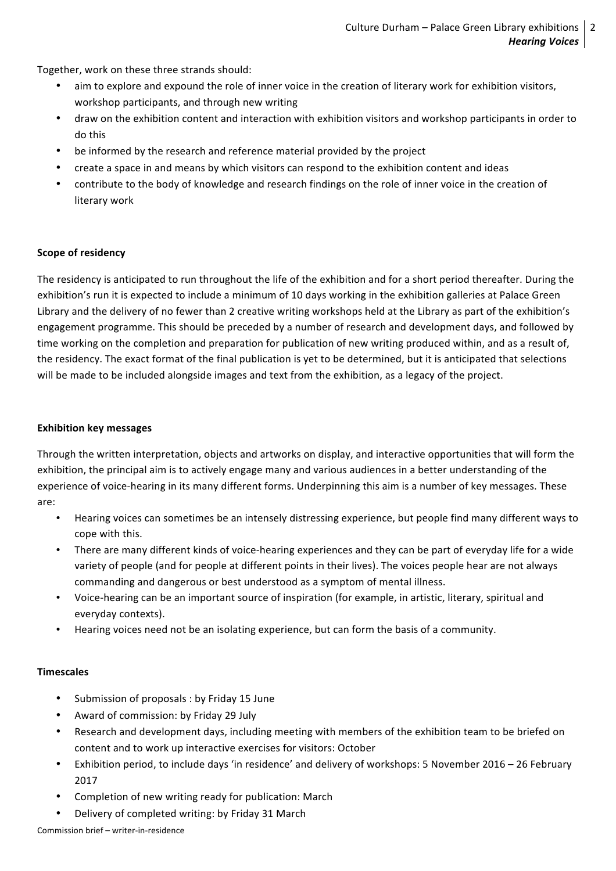Together, work on these three strands should:

- aim to explore and expound the role of inner voice in the creation of literary work for exhibition visitors, workshop participants, and through new writing
- draw on the exhibition content and interaction with exhibition visitors and workshop participants in order to do this
- be informed by the research and reference material provided by the project
- create a space in and means by which visitors can respond to the exhibition content and ideas
- contribute to the body of knowledge and research findings on the role of inner voice in the creation of literary work

## **Scope of residency**

The residency is anticipated to run throughout the life of the exhibition and for a short period thereafter. During the exhibition's run it is expected to include a minimum of 10 days working in the exhibition galleries at Palace Green Library and the delivery of no fewer than 2 creative writing workshops held at the Library as part of the exhibition's engagement programme. This should be preceded by a number of research and development days, and followed by time working on the completion and preparation for publication of new writing produced within, and as a result of, the residency. The exact format of the final publication is yet to be determined, but it is anticipated that selections will be made to be included alongside images and text from the exhibition, as a legacy of the project.

#### **Exhibition key messages**

Through the written interpretation, objects and artworks on display, and interactive opportunities that will form the exhibition, the principal aim is to actively engage many and various audiences in a better understanding of the experience of voice-hearing in its many different forms. Underpinning this aim is a number of key messages. These are:

- Hearing voices can sometimes be an intensely distressing experience, but people find many different ways to cope with this.
- There are many different kinds of voice-hearing experiences and they can be part of everyday life for a wide variety of people (and for people at different points in their lives). The voices people hear are not always commanding and dangerous or best understood as a symptom of mental illness.
- Voice-hearing can be an important source of inspiration (for example, in artistic, literary, spiritual and everyday contexts).
- Hearing voices need not be an isolating experience, but can form the basis of a community.

## **Timescales**

- Submission of proposals : by Friday 15 June
- Award of commission: by Friday 29 July
- Research and development days, including meeting with members of the exhibition team to be briefed on content and to work up interactive exercises for visitors: October
- Exhibition period, to include days 'in residence' and delivery of workshops: 5 November 2016 26 February 2017
- Completion of new writing ready for publication: March
- Delivery of completed writing: by Friday 31 March